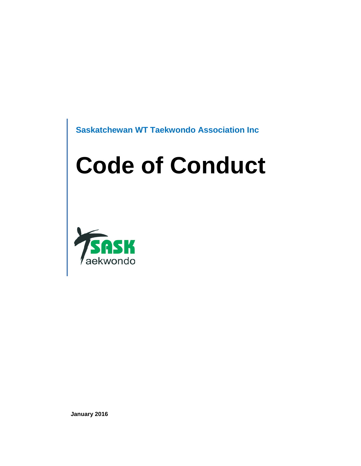**Saskatchewan WT Taekwondo Association Inc**

# **Code of Conduct**



**January 2016**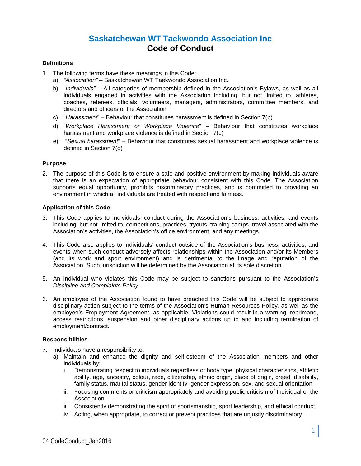# **Saskatchewan WT Taekwondo Association Inc Code of Conduct**

#### **Definitions**

- 1. The following terms have these meanings in this Code:
	- a) *"Association"* Saskatchewan WT Taekwondo Association Inc.
	- b) "*Individuals"* All categories of membership defined in the Association's Bylaws, as well as all individuals engaged in activities with the Association including, but not limited to, athletes, coaches, referees, officials, volunteers, managers, administrators, committee members, and directors and officers of the Association
	- c) "*Harassment*" Behaviour that constitutes harassment is defined in Section 7(b)
	- d) "*Workplace Harassment or Workplace Violence*" Behaviour that constitutes workplace harassment and workplace violence is defined in Section 7(c)
	- e) "*Sexual harassment*" Behaviour that constitutes sexual harassment and workplace violence is defined in Section 7(d)

# **Purpose**

2. The purpose of this Code is to ensure a safe and positive environment by making Individuals aware that there is an expectation of appropriate behaviour consistent with this Code. The Association supports equal opportunity, prohibits discriminatory practices, and is committed to providing an environment in which all individuals are treated with respect and fairness.

# **Application of this Code**

- 3. This Code applies to Individuals' conduct during the Association's business, activities, and events including, but not limited to, competitions, practices, tryouts, training camps, travel associated with the Association's activities, the Association's office environment, and any meetings.
- 4. This Code also applies to Individuals' conduct outside of the Association's business, activities, and events when such conduct adversely affects relationships within the Association and/or its Members (and its work and sport environment) and is detrimental to the image and reputation of the Association. Such jurisdiction will be determined by the Association at its sole discretion.
- 5. An Individual who violates this Code may be subject to sanctions pursuant to the Association's *Discipline and Complaints Policy*.
- 6. An employee of the Association found to have breached this Code will be subject to appropriate disciplinary action subject to the terms of the Association's Human Resources Policy*,* as well as the employee's Employment Agreement, as applicable. Violations could result in a warning, reprimand, access restrictions, suspension and other disciplinary actions up to and including termination of employment/contract.

#### **Responsibilities**

- 7. Individuals have a responsibility to:
	- a) Maintain and enhance the dignity and self-esteem of the Association members and other individuals by:
		- i. Demonstrating respect to individuals regardless of body type, physical characteristics, athletic ability, age, ancestry, colour, race, citizenship, ethnic origin, place of origin, creed, disability, family status, marital status, gender identity, gender expression, sex, and sexual orientation
		- ii. Focusing comments or criticism appropriately and avoiding public criticism of Individual or the Association
		- iii. Consistently demonstrating the spirit of sportsmanship, sport leadership, and ethical conduct
		- iv. Acting, when appropriate, to correct or prevent practices that are unjustly discriminatory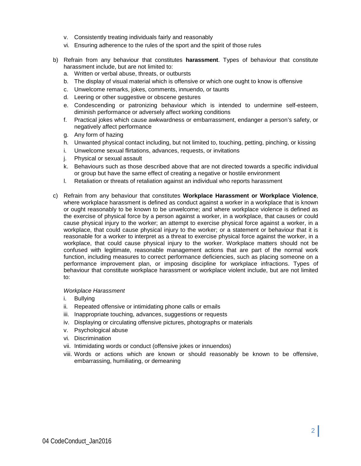- v. Consistently treating individuals fairly and reasonably
- vi. Ensuring adherence to the rules of the sport and the spirit of those rules
- b) Refrain from any behaviour that constitutes **harassment**. Types of behaviour that constitute harassment include, but are not limited to:
	- a. Written or verbal abuse, threats, or outbursts
	- b. The display of visual material which is offensive or which one ought to know is offensive
	- c. Unwelcome remarks, jokes, comments, innuendo, or taunts
	- d. Leering or other suggestive or obscene gestures
	- e. Condescending or patronizing behaviour which is intended to undermine self-esteem, diminish performance or adversely affect working conditions
	- f. Practical jokes which cause awkwardness or embarrassment, endanger a person's safety, or negatively affect performance
	- g. Any form of hazing
	- h. Unwanted physical contact including, but not limited to, touching, petting, pinching, or kissing
	- i. Unwelcome sexual flirtations, advances, requests, or invitations
	- j. Physical or sexual assault
	- k. Behaviours such as those described above that are not directed towards a specific individual or group but have the same effect of creating a negative or hostile environment
	- l. Retaliation or threats of retaliation against an individual who reports harassment
- c) Refrain from any behaviour that constitutes **Workplace Harassment or Workplace Violence**, where workplace harassment is defined as conduct against a worker in a workplace that is known or ought reasonably to be known to be unwelcome; and where workplace violence is defined as the exercise of physical force by a person against a worker, in a workplace, that causes or could cause physical injury to the worker; an attempt to exercise physical force against a worker, in a workplace, that could cause physical injury to the worker; or a statement or behaviour that it is reasonable for a worker to interpret as a threat to exercise physical force against the worker, in a workplace, that could cause physical injury to the worker. Workplace matters should not be confused with legitimate, reasonable management actions that are part of the normal work function, including measures to correct performance deficiencies, such as placing someone on a performance improvement plan, or imposing discipline for workplace infractions. Types of behaviour that constitute workplace harassment or workplace violent include, but are not limited to:

#### *Workplace Harassment*

- i. Bullying
- ii. Repeated offensive or intimidating phone calls or emails
- iii. Inappropriate touching, advances, suggestions or requests
- iv. Displaying or circulating offensive pictures, photographs or materials
- v. Psychological abuse
- vi. Discrimination
- vii. Intimidating words or conduct (offensive jokes or innuendos)
- viii. Words or actions which are known or should reasonably be known to be offensive, embarrassing, humiliating, or demeaning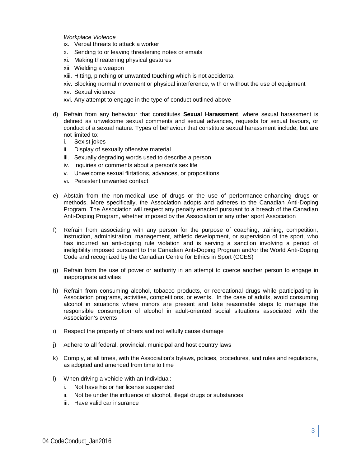*Workplace Violence* 

- ix. Verbal threats to attack a worker
- x. Sending to or leaving threatening notes or emails
- xi. Making threatening physical gestures
- xii. Wielding a weapon
- xiii. Hitting, pinching or unwanted touching which is not accidental
- xiv. Blocking normal movement or physical interference, with or without the use of equipment
- xv. Sexual violence
- xvi. Any attempt to engage in the type of conduct outlined above
- d) Refrain from any behaviour that constitutes **Sexual Harassment**, where sexual harassment is defined as unwelcome sexual comments and sexual advances, requests for sexual favours, or conduct of a sexual nature. Types of behaviour that constitute sexual harassment include, but are not limited to:
	- i. Sexist jokes
	- ii. Display of sexually offensive material
	- iii. Sexually degrading words used to describe a person
	- iv. Inquiries or comments about a person's sex life
	- v. Unwelcome sexual flirtations, advances, or propositions
	- vi. Persistent unwanted contact
- e) Abstain from the non-medical use of drugs or the use of performance-enhancing drugs or methods. More specifically, the Association adopts and adheres to the Canadian Anti-Doping Program. The Association will respect any penalty enacted pursuant to a breach of the Canadian Anti-Doping Program, whether imposed by the Association or any other sport Association
- f) Refrain from associating with any person for the purpose of coaching, training, competition, instruction, administration, management, athletic development, or supervision of the sport, who has incurred an anti-doping rule violation and is serving a sanction involving a period of ineligibility imposed pursuant to the Canadian Anti-Doping Program and/or the World Anti-Doping Code and recognized by the Canadian Centre for Ethics in Sport (CCES)
- g) Refrain from the use of power or authority in an attempt to coerce another person to engage in inappropriate activities
- h) Refrain from consuming alcohol, tobacco products, or recreational drugs while participating in Association programs, activities, competitions, or events. In the case of adults, avoid consuming alcohol in situations where minors are present and take reasonable steps to manage the responsible consumption of alcohol in adult-oriented social situations associated with the Association's events
- i) Respect the property of others and not wilfully cause damage
- j) Adhere to all federal, provincial, municipal and host country laws
- k) Comply, at all times, with the Association's bylaws, policies, procedures, and rules and regulations, as adopted and amended from time to time
- l) When driving a vehicle with an Individual:
	- i. Not have his or her license suspended
	- ii. Not be under the influence of alcohol, illegal drugs or substances
	- iii. Have valid car insurance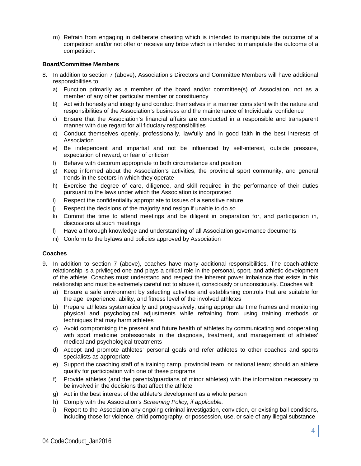m) Refrain from engaging in deliberate cheating which is intended to manipulate the outcome of a competition and/or not offer or receive any bribe which is intended to manipulate the outcome of a competition.

# **Board/Committee Members**

- 8. In addition to section 7 (above), Association's Directors and Committee Members will have additional responsibilities to:
	- a) Function primarily as a member of the board and/or committee(s) of Association; not as a member of any other particular member or constituency
	- b) Act with honesty and integrity and conduct themselves in a manner consistent with the nature and responsibilities of the Association's business and the maintenance of Individuals' confidence
	- c) Ensure that the Association's financial affairs are conducted in a responsible and transparent manner with due regard for all fiduciary responsibilities
	- d) Conduct themselves openly, professionally, lawfully and in good faith in the best interests of Association
	- e) Be independent and impartial and not be influenced by self-interest, outside pressure, expectation of reward, or fear of criticism
	- f) Behave with decorum appropriate to both circumstance and position
	- g) Keep informed about the Association's activities, the provincial sport community, and general trends in the sectors in which they operate
	- h) Exercise the degree of care, diligence, and skill required in the performance of their duties pursuant to the laws under which the Association is incorporated
	- i) Respect the confidentiality appropriate to issues of a sensitive nature
	- j) Respect the decisions of the majority and resign if unable to do so
	- k) Commit the time to attend meetings and be diligent in preparation for, and participation in, discussions at such meetings
	- l) Have a thorough knowledge and understanding of all Association governance documents
	- m) Conform to the bylaws and policies approved by Association

#### **Coaches**

- 9. In addition to section 7 (above), coaches have many additional responsibilities. The coach-athlete relationship is a privileged one and plays a critical role in the personal, sport, and athletic development of the athlete. Coaches must understand and respect the inherent power imbalance that exists in this relationship and must be extremely careful not to abuse it, consciously or unconsciously. Coaches will:
	- a) Ensure a safe environment by selecting activities and establishing controls that are suitable for the age, experience, ability, and fitness level of the involved athletes
	- b) Prepare athletes systematically and progressively, using appropriate time frames and monitoring physical and psychological adjustments while refraining from using training methods or techniques that may harm athletes
	- c) Avoid compromising the present and future health of athletes by communicating and cooperating with sport medicine professionals in the diagnosis, treatment, and management of athletes' medical and psychological treatments
	- d) Accept and promote athletes' personal goals and refer athletes to other coaches and sports specialists as appropriate
	- e) Support the coaching staff of a training camp, provincial team, or national team; should an athlete qualify for participation with one of these programs
	- f) Provide athletes (and the parents/guardians of minor athletes) with the information necessary to be involved in the decisions that affect the athlete
	- g) Act in the best interest of the athlete's development as a whole person
	- h) Comply with the Association's *Screening Policy, if applicable.*
	- i) Report to the Association any ongoing criminal investigation, conviction, or existing bail conditions, including those for violence, child pornography, or possession, use, or sale of any illegal substance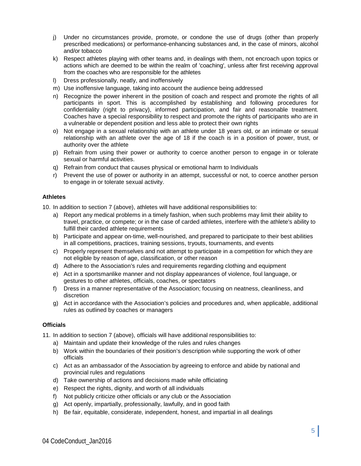- j) Under no circumstances provide, promote, or condone the use of drugs (other than properly prescribed medications) or performance-enhancing substances and, in the case of minors, alcohol and/or tobacco
- k) Respect athletes playing with other teams and, in dealings with them, not encroach upon topics or actions which are deemed to be within the realm of 'coaching', unless after first receiving approval from the coaches who are responsible for the athletes
- l) Dress professionally, neatly, and inoffensively
- m) Use inoffensive language, taking into account the audience being addressed
- n) Recognize the power inherent in the position of coach and respect and promote the rights of all participants in sport. This is accomplished by establishing and following procedures for confidentiality (right to privacy), informed participation, and fair and reasonable treatment. Coaches have a special responsibility to respect and promote the rights of participants who are in a vulnerable or dependent position and less able to protect their own rights
- o) Not engage in a sexual relationship with an athlete under 18 years old, or an intimate or sexual relationship with an athlete over the age of 18 if the coach is in a position of power, trust, or authority over the athlete
- p) Refrain from using their power or authority to coerce another person to engage in or tolerate sexual or harmful activities.
- q) Refrain from conduct that causes physical or emotional harm to Individuals
- r) Prevent the use of power or authority in an attempt, successful or not, to coerce another person to engage in or tolerate sexual activity.

# **Athletes**

10. In addition to section 7 (above), athletes will have additional responsibilities to:

- a) Report any medical problems in a timely fashion, when such problems may limit their ability to travel, practice, or compete; or in the case of carded athletes, interfere with the athlete's ability to fulfill their carded athlete requirements
- b) Participate and appear on-time, well-nourished, and prepared to participate to their best abilities in all competitions, practices, training sessions, tryouts, tournaments, and events
- c) Properly represent themselves and not attempt to participate in a competition for which they are not eligible by reason of age, classification, or other reason
- d) Adhere to the Association's rules and requirements regarding clothing and equipment
- e) Act in a sportsmanlike manner and not display appearances of violence, foul language, or gestures to other athletes, officials, coaches, or spectators
- f) Dress in a manner representative of the Association; focusing on neatness, cleanliness, and discretion
- g) Act in accordance with the Association's policies and procedures and, when applicable, additional rules as outlined by coaches or managers

#### **Officials**

11. In addition to section 7 (above), officials will have additional responsibilities to:

- a) Maintain and update their knowledge of the rules and rules changes
- b) Work within the boundaries of their position's description while supporting the work of other officials
- c) Act as an ambassador of the Association by agreeing to enforce and abide by national and provincial rules and regulations
- d) Take ownership of actions and decisions made while officiating
- e) Respect the rights, dignity, and worth of all individuals
- f) Not publicly criticize other officials or any club or the Association
- g) Act openly, impartially, professionally, lawfully, and in good faith
- h) Be fair, equitable, considerate, independent, honest, and impartial in all dealings